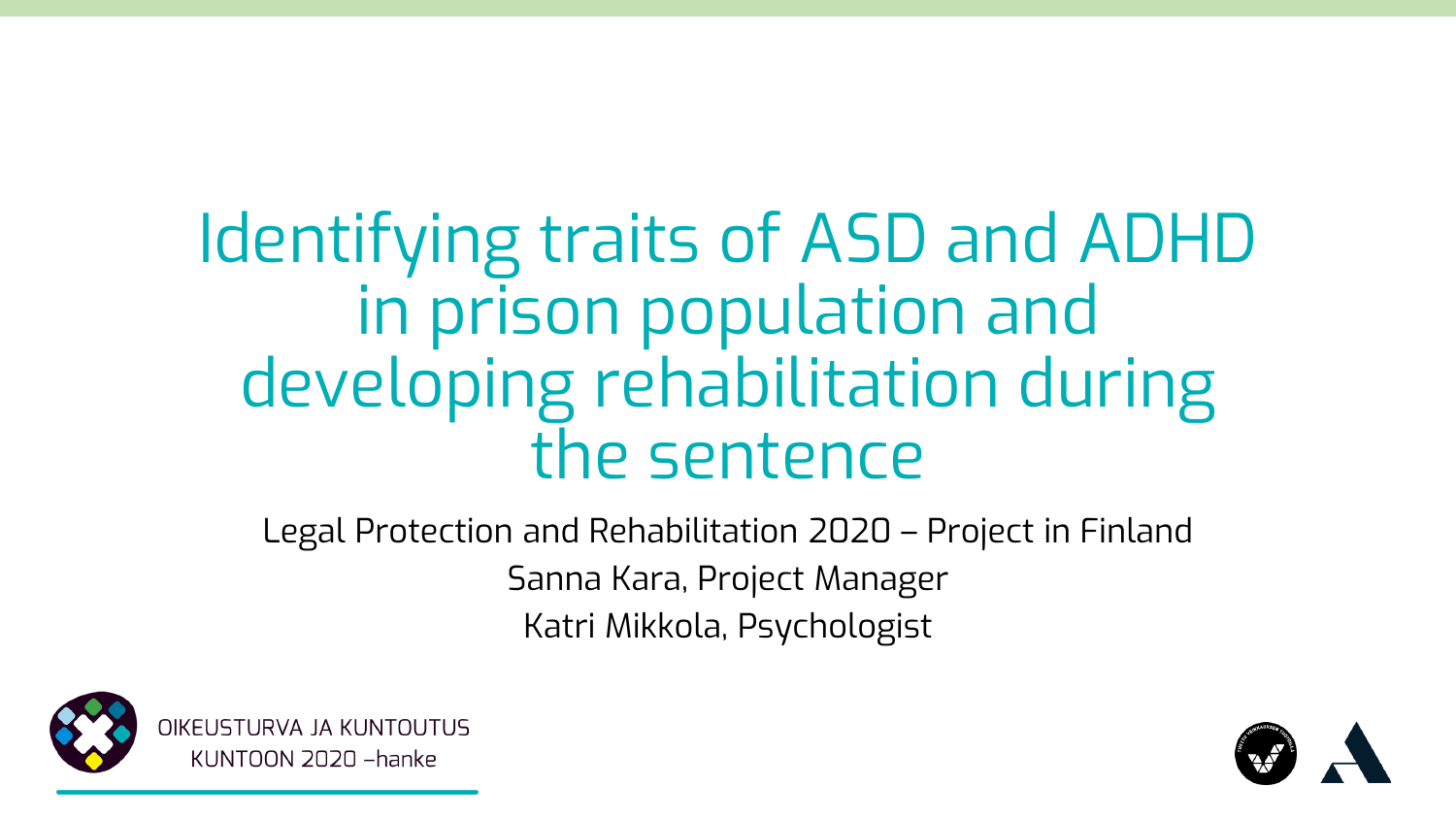## Identifying traits of ASD and ADHD in prison population and developing rehabilitation during the sentence

Legal Protection and Rehabilitation 2020 – Project in Finland Sanna Kara, Project Manager Katri Mikkola, Psychologist



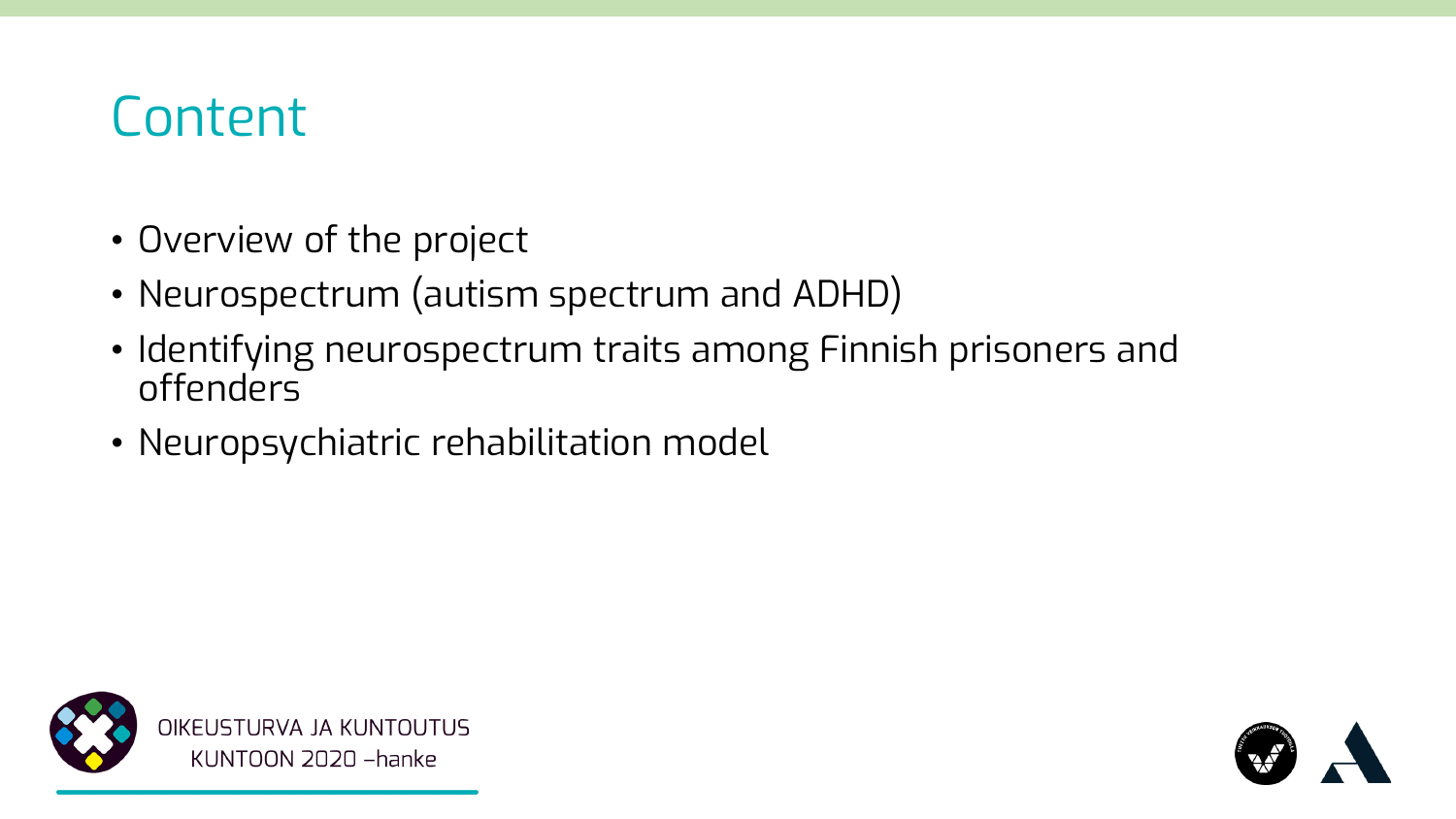### **Content**

- Overview of the project
- Neurospectrum (autism spectrum and ADHD)
- Identifying neurospectrum traits among Finnish prisoners and offenders
- Neuropsychiatric rehabilitation model



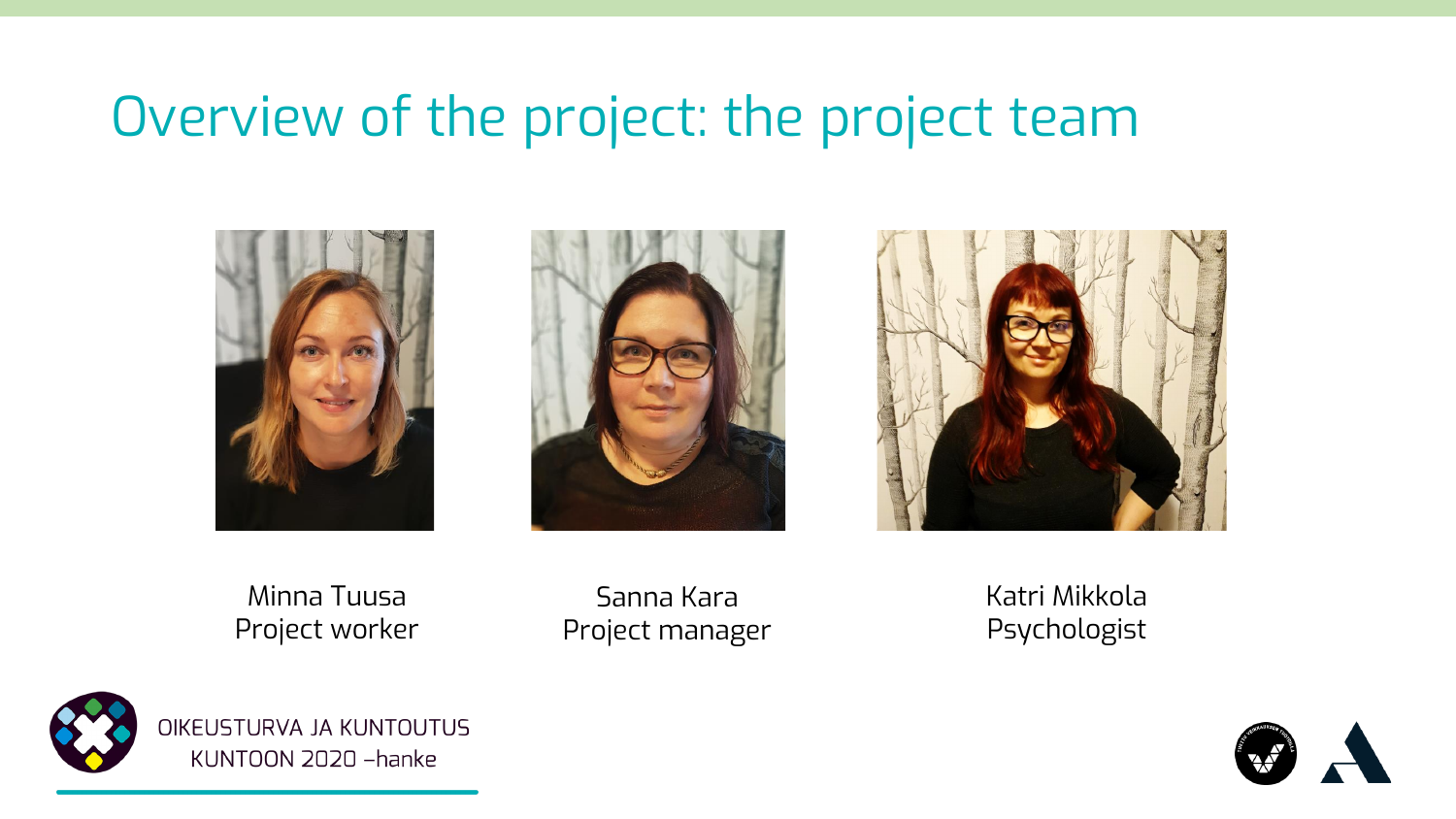### Overview of the project: the project team







Minna Tuusa Project worker

Sanna Kara Project manager Katri Mikkola Psychologist



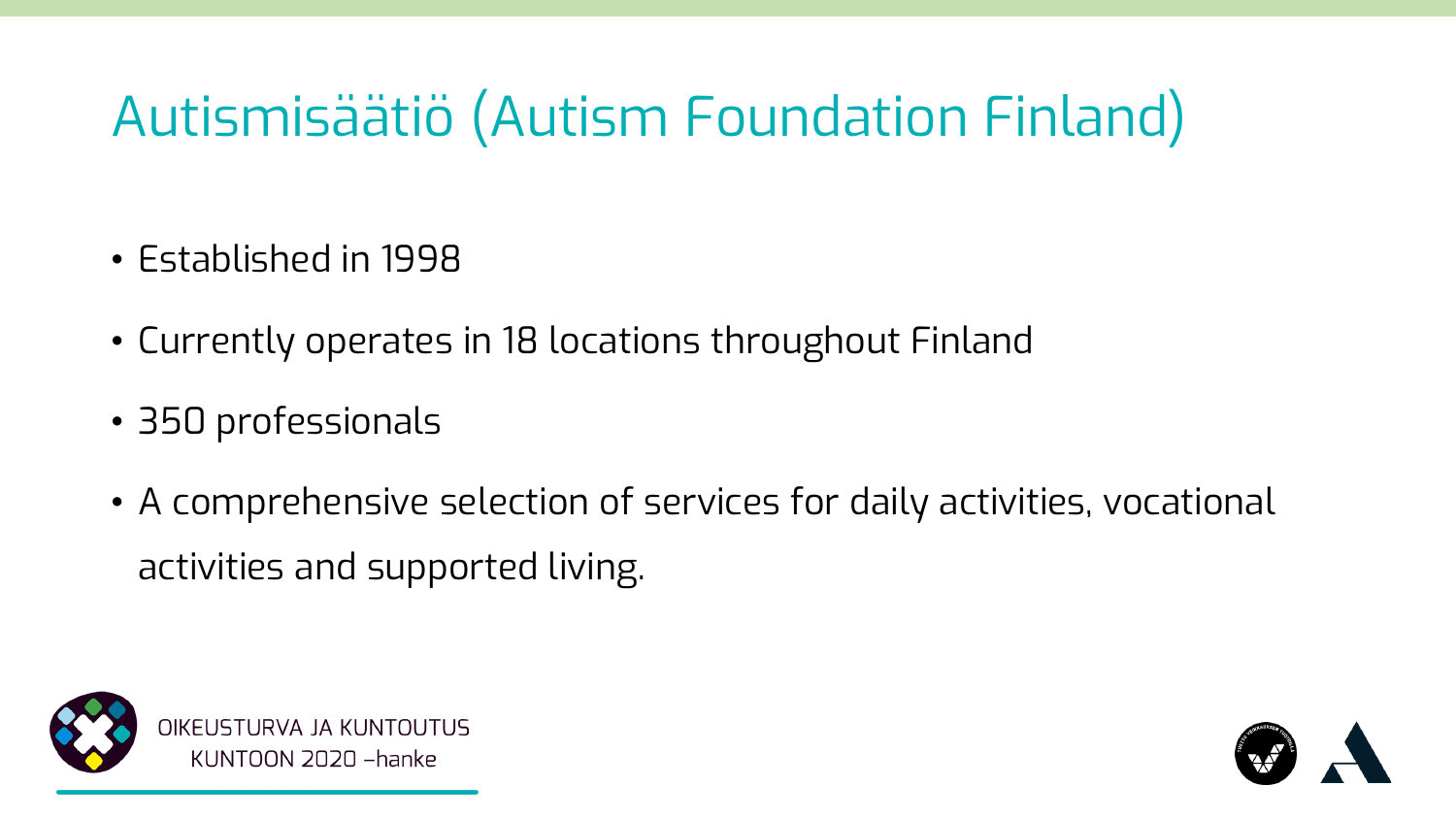### Autismisäätiö (Autism Foundation Finland)

- Established in 1998
- Currently operates in 18 locations throughout Finland
- 350 professionals
- A comprehensive selection of services for daily activities, vocational activities and supported living.



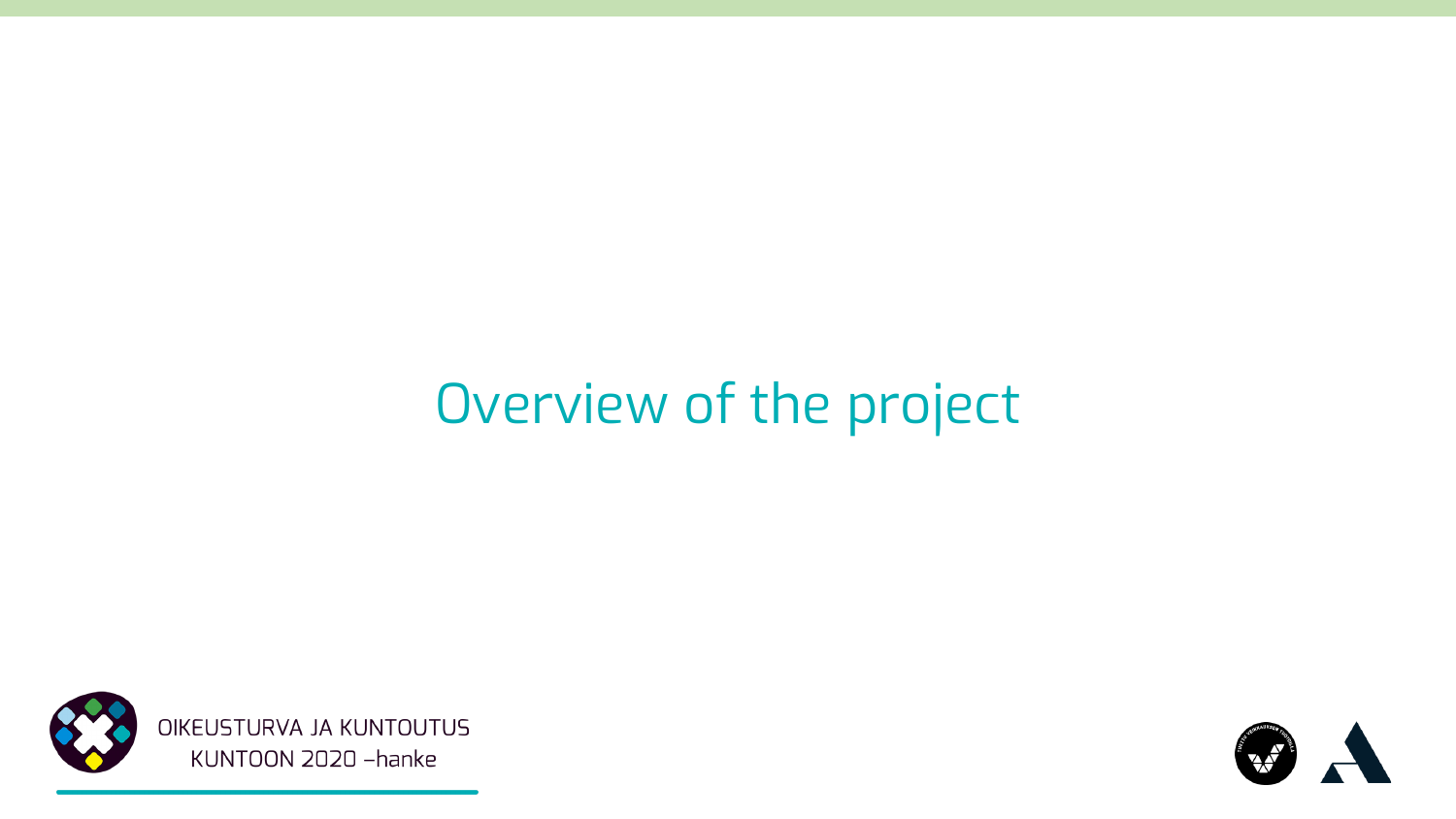### Overview of the project



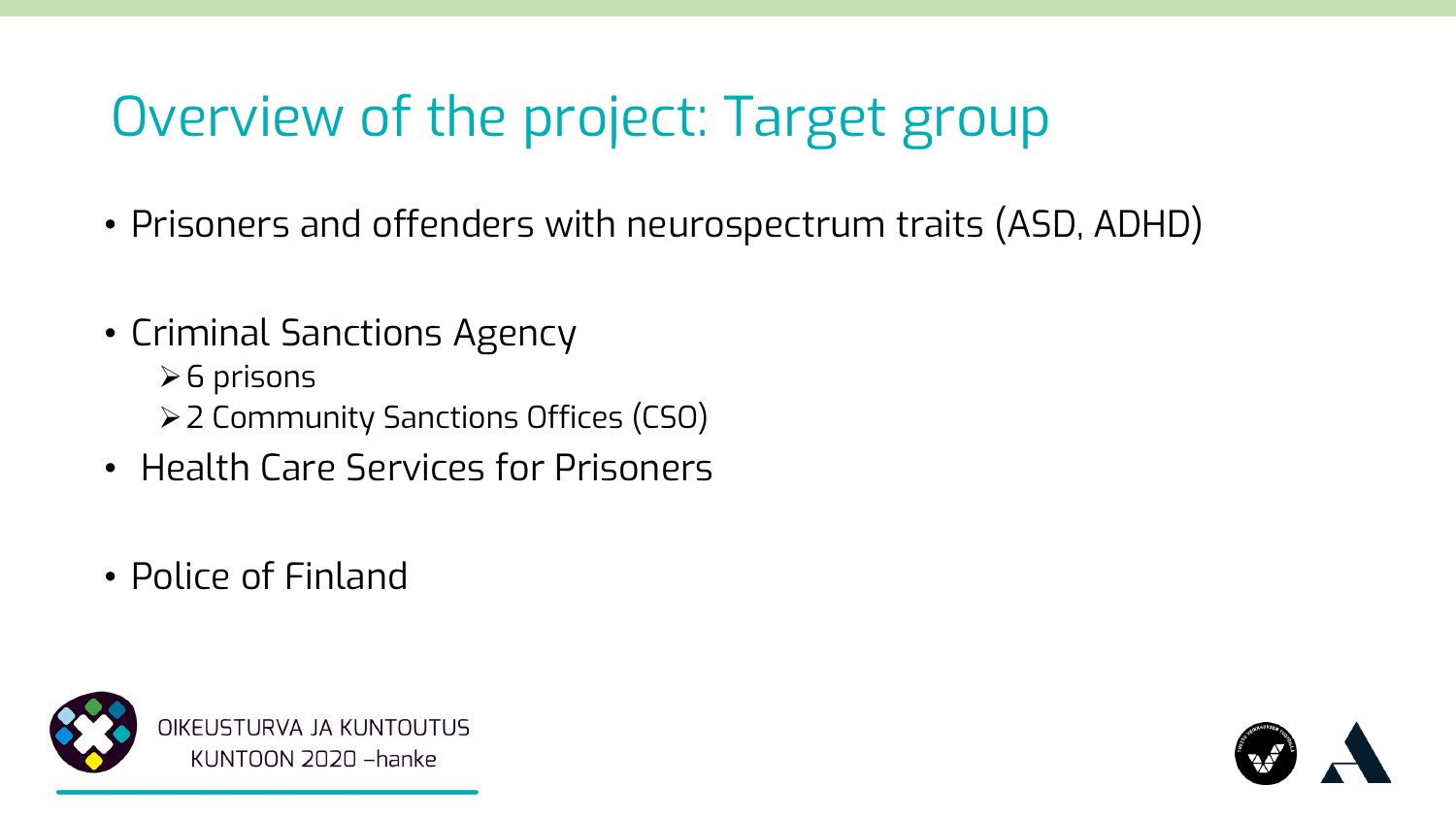### Overview of the project: Target group

- Prisoners and offenders with neurospectrum traits (ASD, ADHD)
- Criminal Sanctions Agency
	- ➢6 prisons
	- ➢2 Community Sanctions Offices (CSO)
- Health Care Services for Prisoners
- Police of Finland



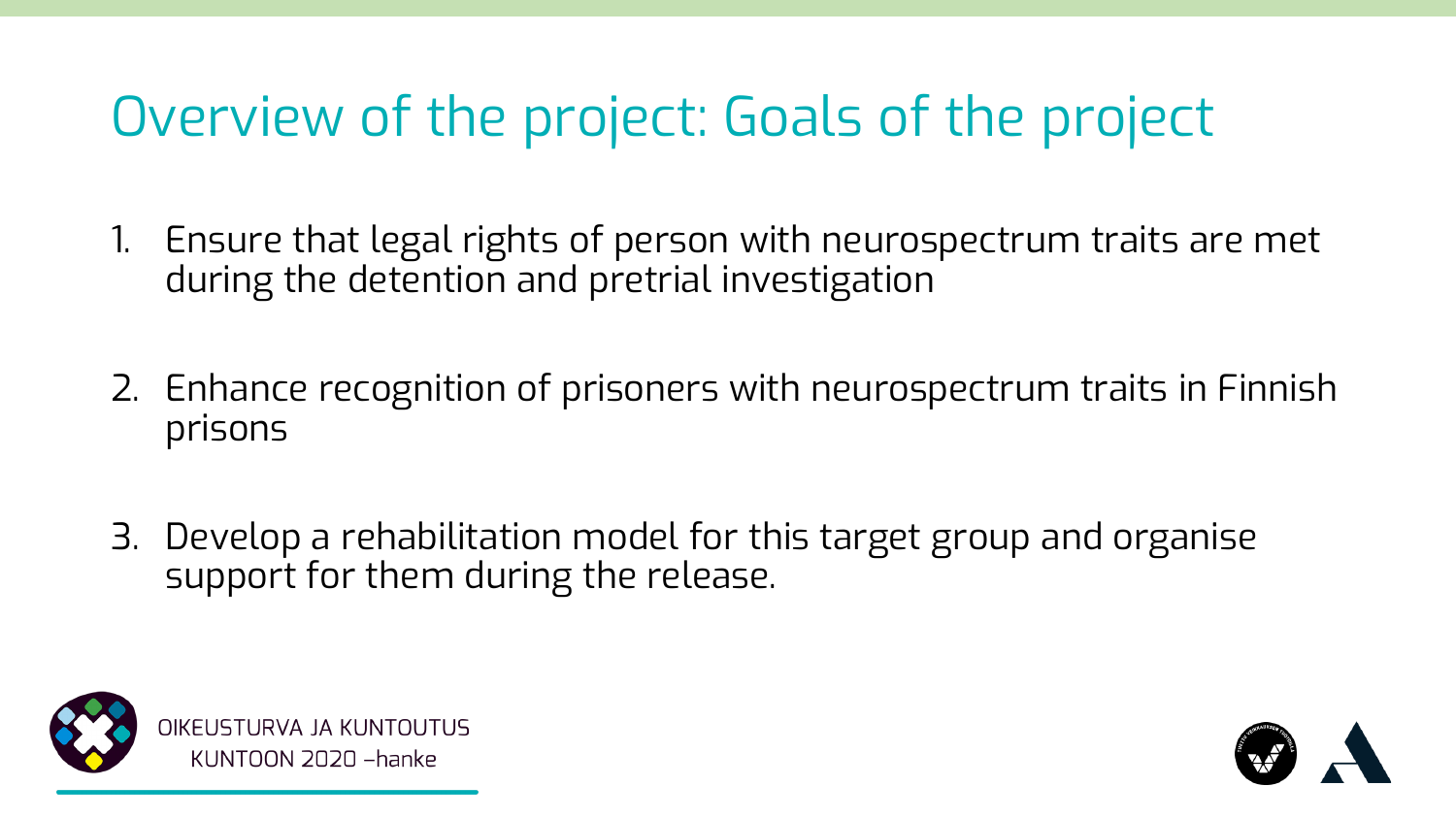### Overview of the project: Goals of the project

- 1. Ensure that legal rights of person with neurospectrum traits are met during the detention and pretrial investigation
- 2. Enhance recognition of prisoners with neurospectrum traits in Finnish prisons
- 3. Develop a rehabilitation model for this target group and organise support for them during the release.



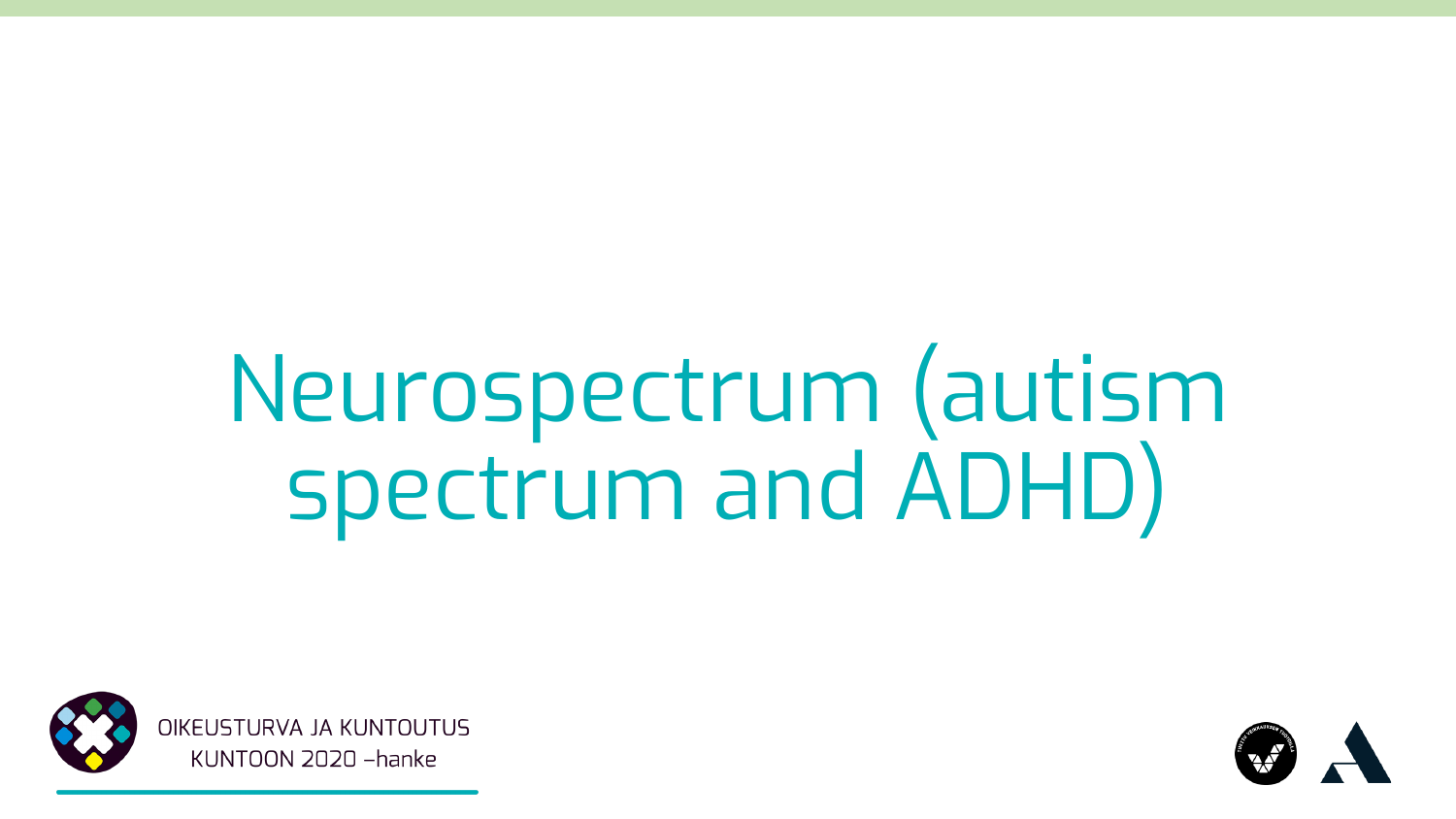# Neurospectrum (autism spectrum and ADHD)



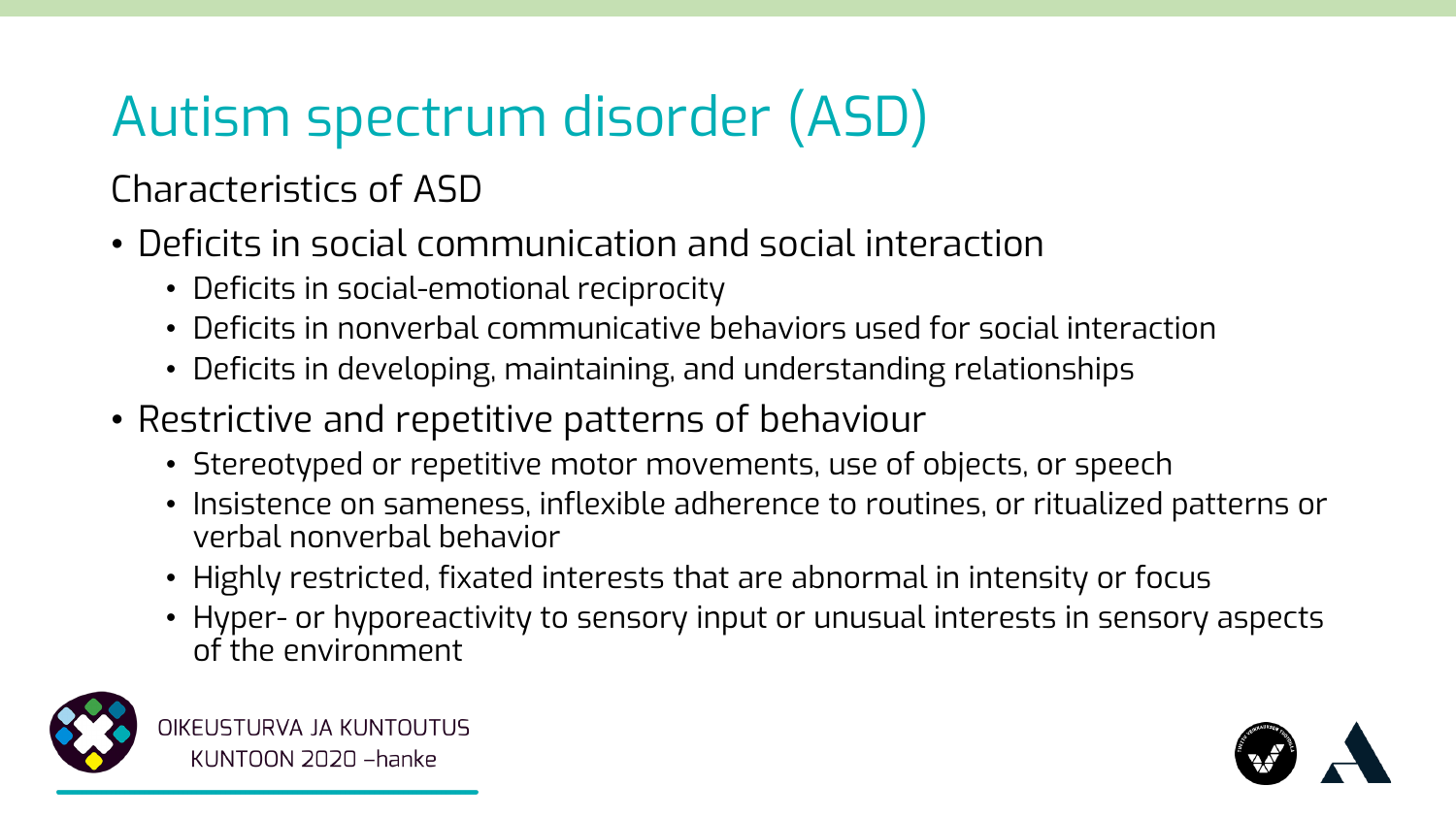## Autism spectrum disorder (ASD)

Characteristics of ASD

- Deficits in social communication and social interaction
	- Deficits in social-emotional reciprocity
	- Deficits in nonverbal communicative behaviors used for social interaction
	- Deficits in developing, maintaining, and understanding relationships
- Restrictive and repetitive patterns of behaviour
	- Stereotyped or repetitive motor movements, use of objects, or speech
	- Insistence on sameness, inflexible adherence to routines, or ritualized patterns or verbal nonverbal behavior
	- Highly restricted, fixated interests that are abnormal in intensity or focus
	- Hyper- or hyporeactivity to sensory input or unusual interests in sensory aspects of the environment



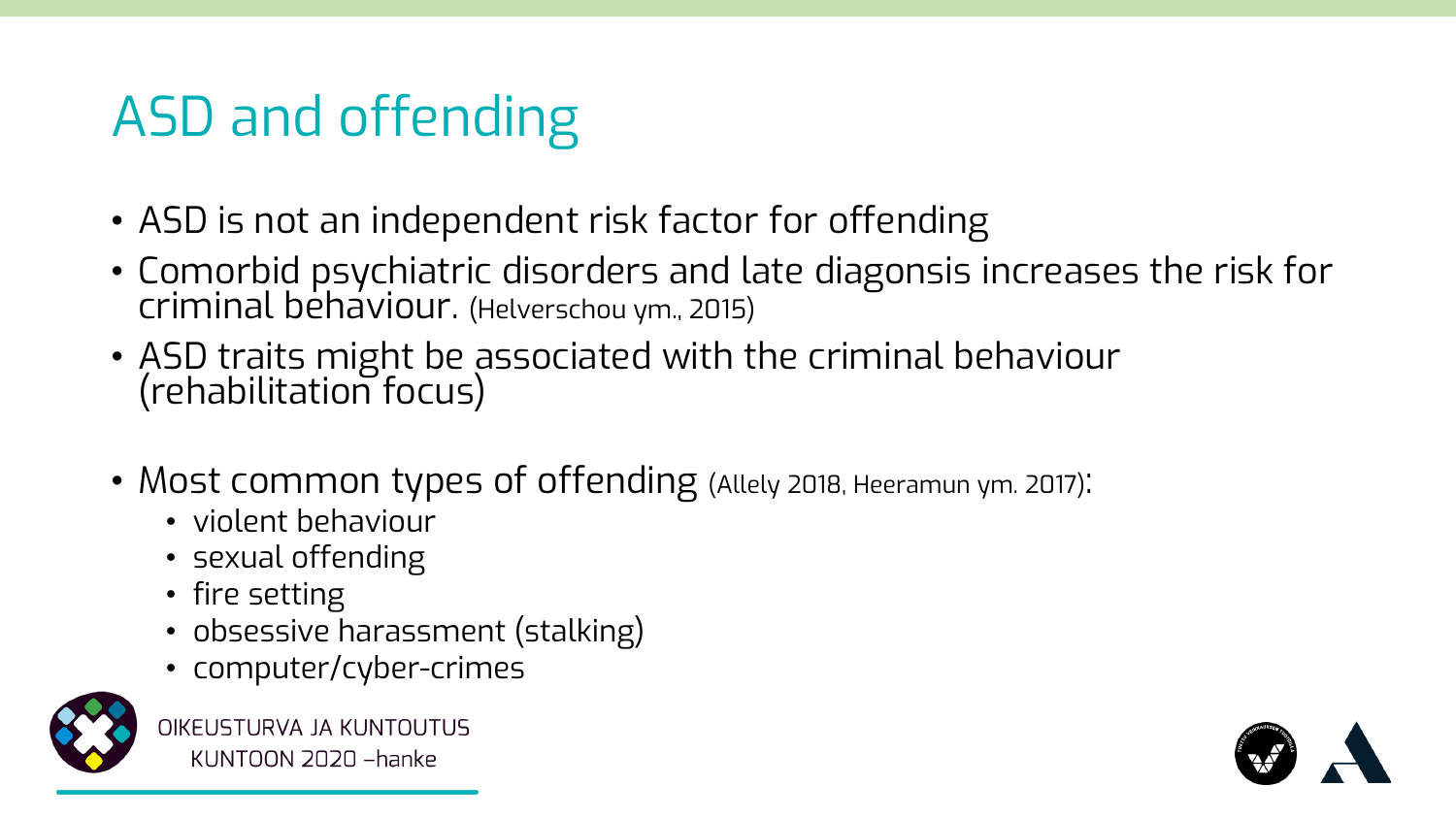### ASD and offending

- ASD is not an independent risk factor for offending
- Comorbid psychiatric disorders and late diagonsis increases the risk for criminal behaviour. (Helverschou ym., 2015)
- ASD traits might be associated with the criminal behaviour (rehabilitation focus)
- Most common types of offending (Allely 2018, Heeramun ym. 2017):
	- violent behaviour
	- sexual offending
	- fire setting
	- obsessive harassment (stalking)
	- computer/cyber-crimes



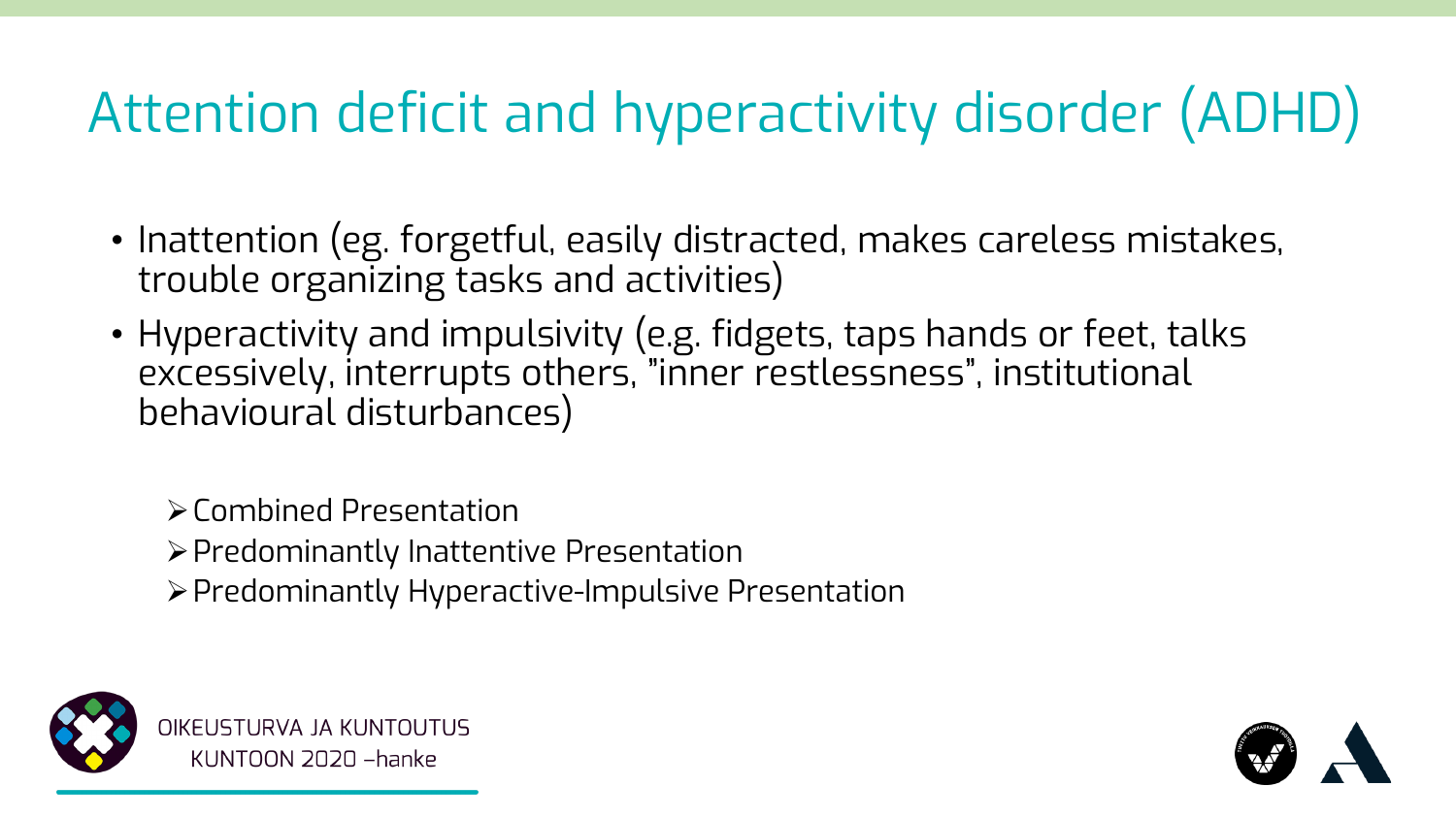## Attention deficit and hyperactivity disorder (ADHD)

- Inattention (eg. forgetful, easily distracted, makes careless mistakes, trouble organizing tasks and activities)
- Hyperactivity and impulsivity (e.g. fidgets, taps hands or feet, talks excessively, interrupts others, "inner restlessness", institutional behavioural disturbances)

➢Combined Presentation

- ➢Predominantly Inattentive Presentation
- ➢Predominantly Hyperactive-Impulsive Presentation



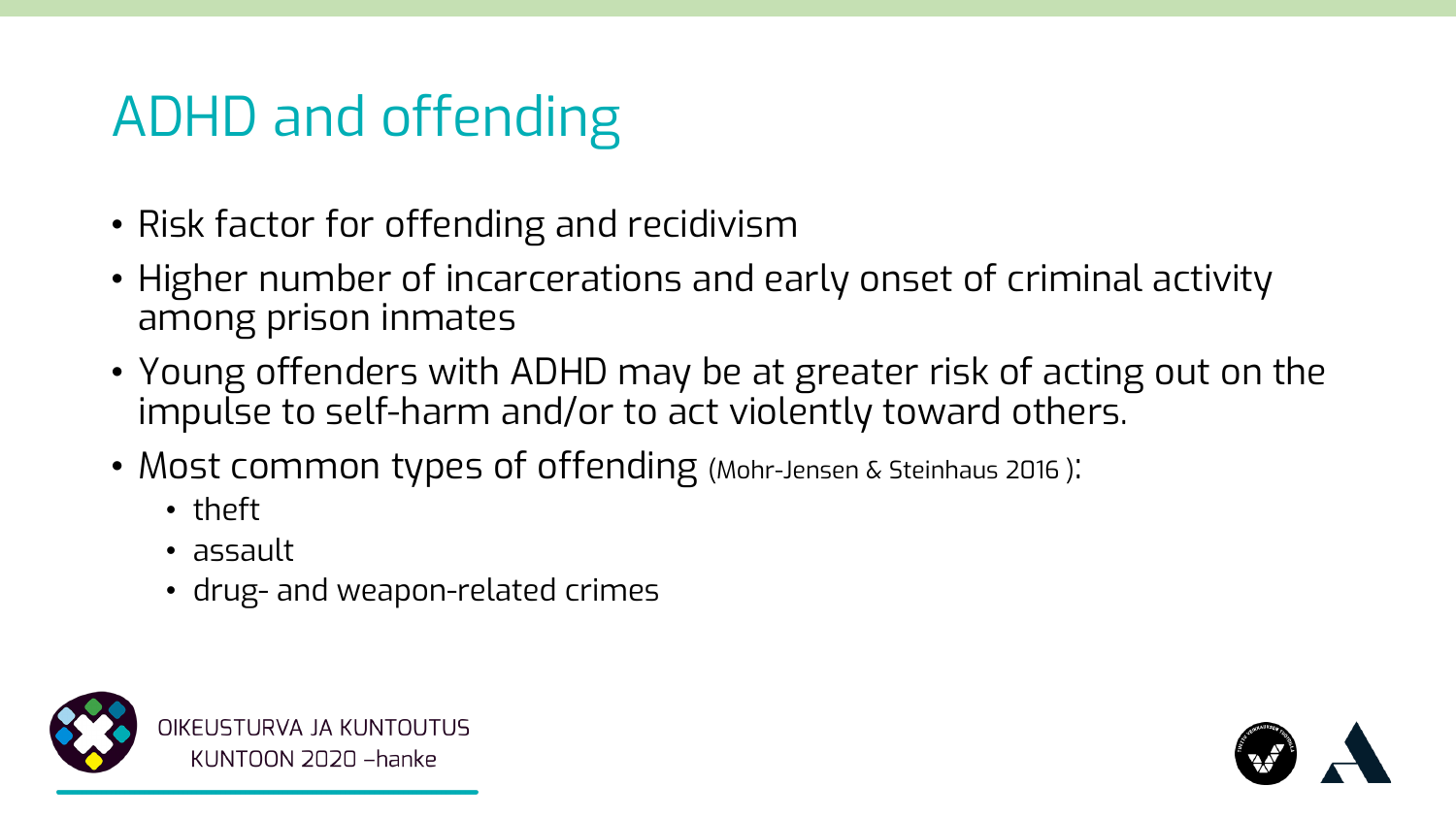### ADHD and offending

- Risk factor for offending and recidivism
- Higher number of incarcerations and early onset of criminal activity among prison inmates
- Young offenders with ADHD may be at greater risk of acting out on the impulse to self-harm and/or to act violently toward others.
- Most common types of offending (Mohr-Jensen & Steinhaus 2016):
	- theft
	- assault
	- drug- and weapon-related crimes



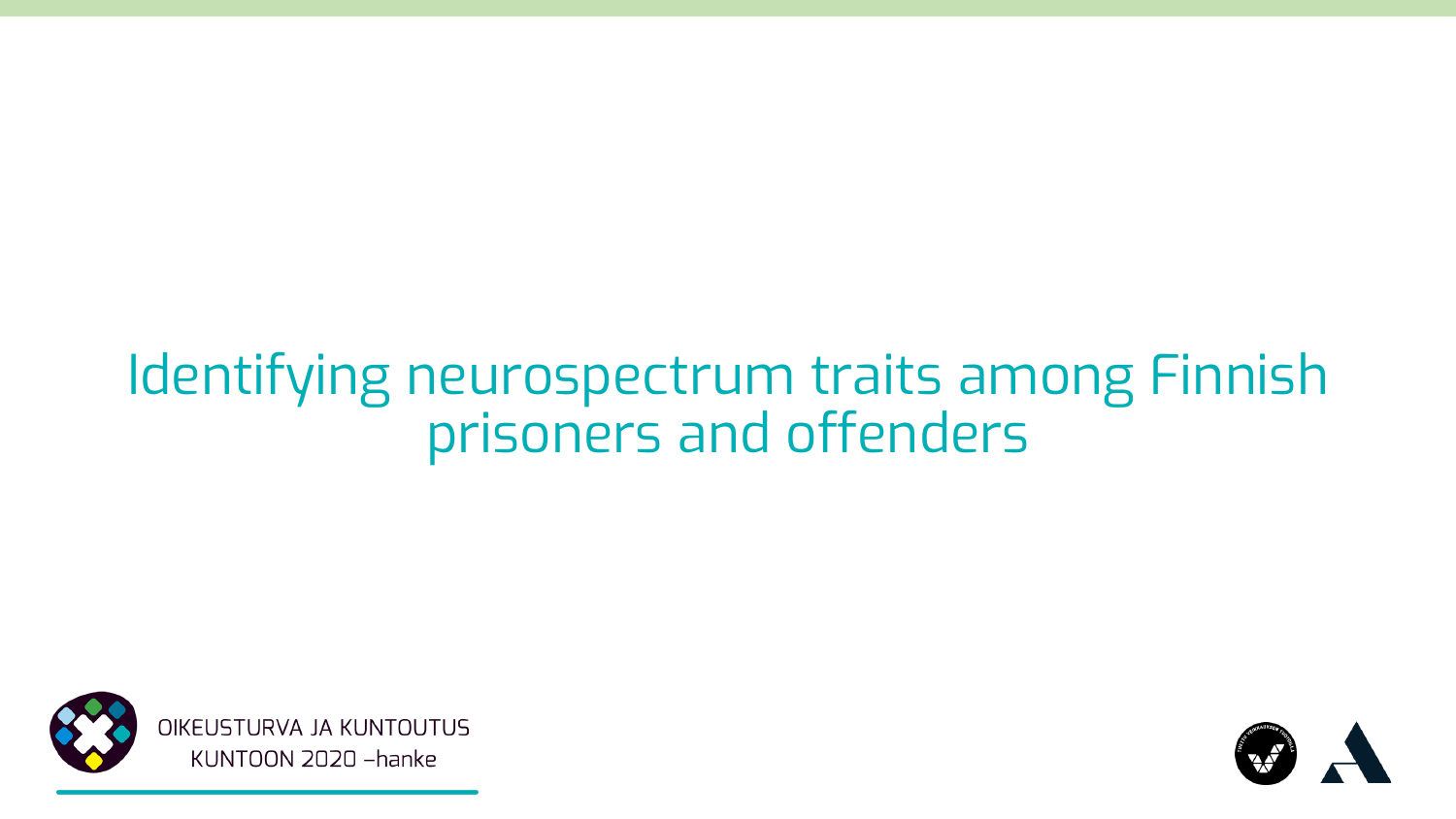### Identifying neurospectrum traits among Finnish prisoners and offenders



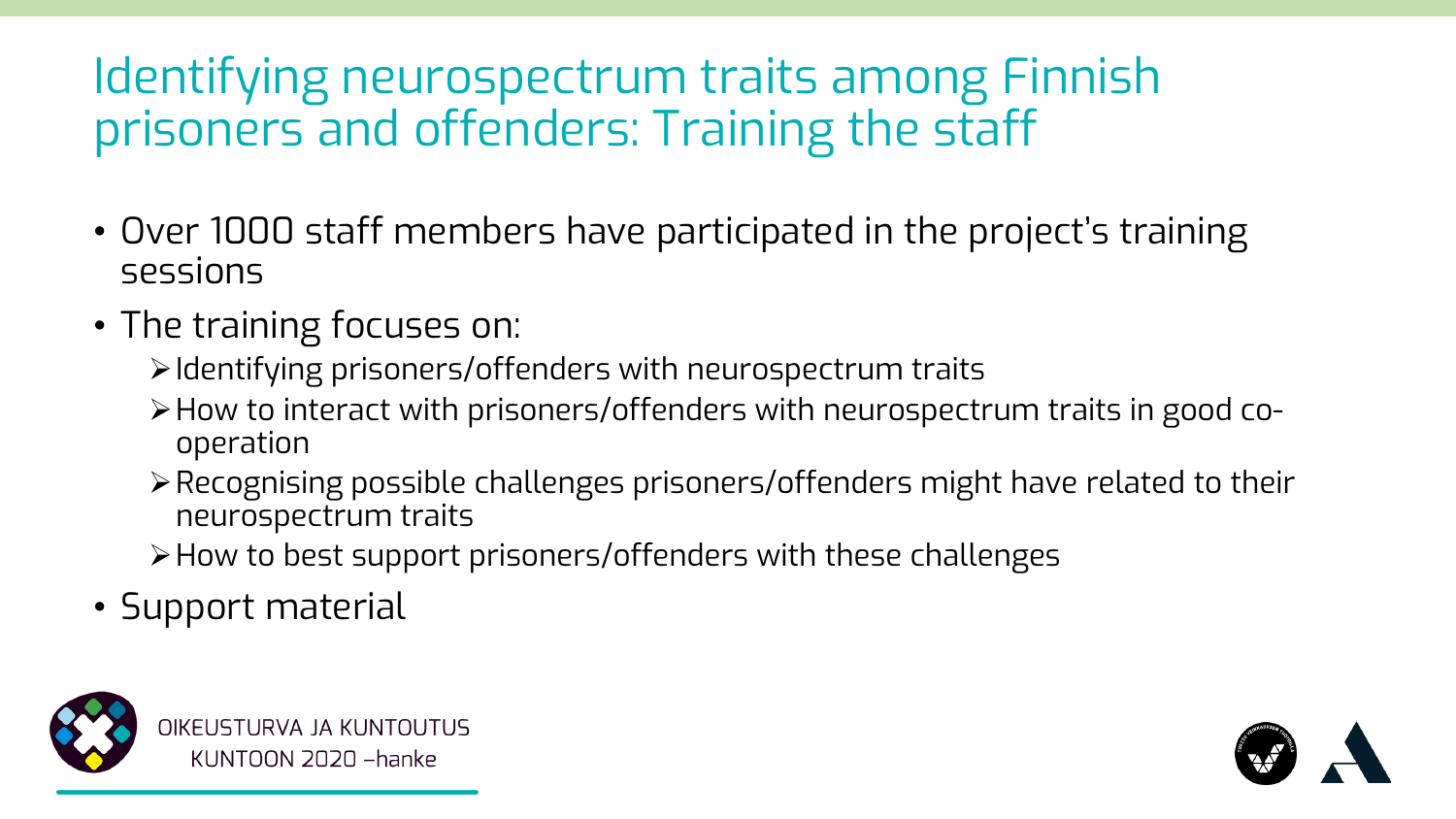### Identifying neurospectrum traits among Finnish prisoners and offenders: Training the staff

- Over 1000 staff members have participated in the project's training sessions
- The training focuses on:
	- ➢Identifying prisoners/offenders with neurospectrum traits
	- ➢How to interact with prisoners/offenders with neurospectrum traits in good cooperation
	- ➢Recognising possible challenges prisoners/offenders might have related to their neurospectrum traits
	- ➢How to best support prisoners/offenders with these challenges
- Support material



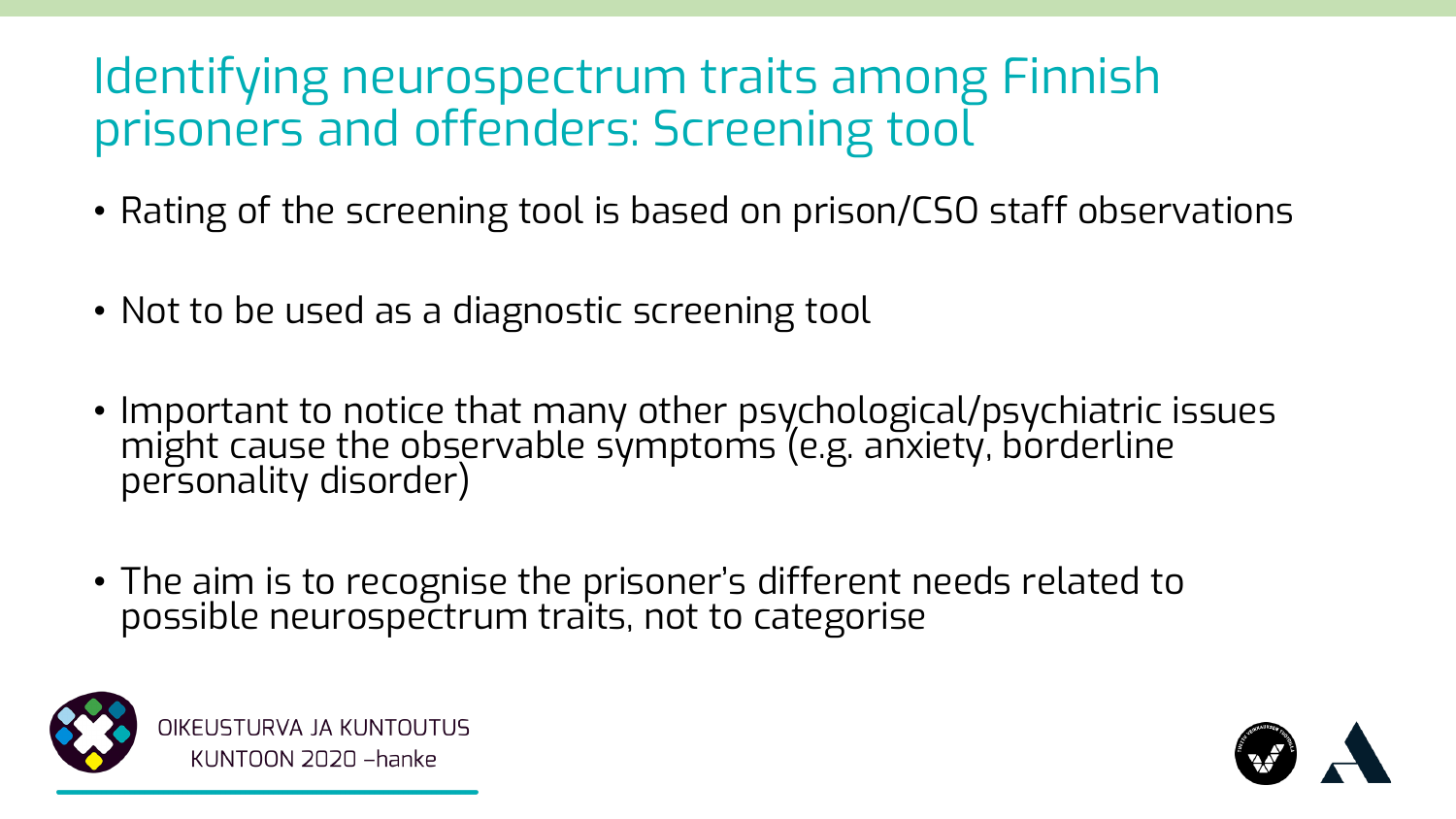### Identifying neurospectrum traits among Finnish prisoners and offenders: Screening tool

- Rating of the screening tool is based on prison/CSO staff observations
- Not to be used as a diagnostic screening tool
- Important to notice that many other psychological/psychiatric issues might cause the observable symptoms (e.g. anxiety, borderline personality disorder)
- The aim is to recognise the prisoner's different needs related to possible neurospectrum traits, not to categorise



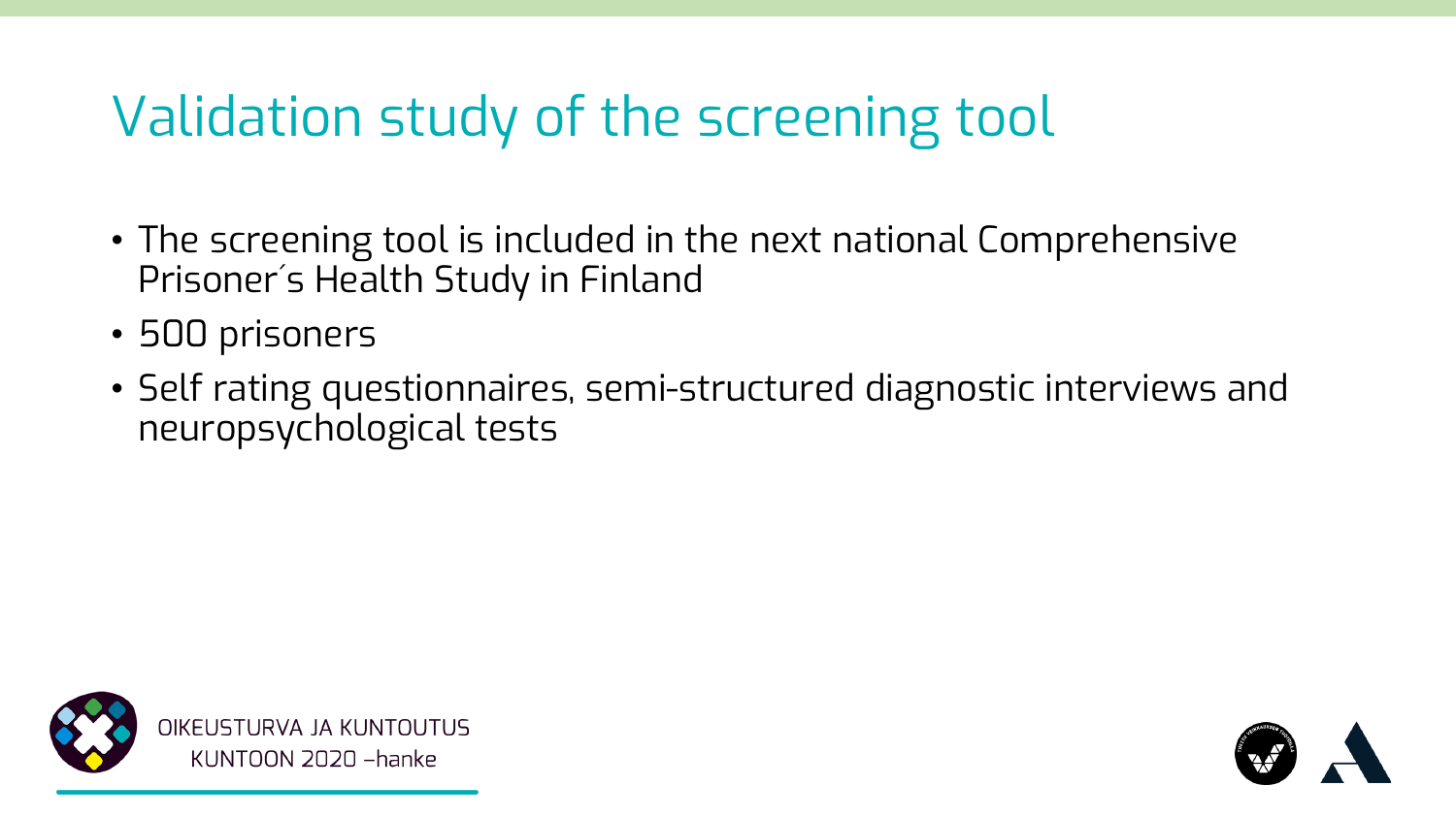### Validation study of the screening tool

- The screening tool is included in the next national Comprehensive Prisoner´s Health Study in Finland
- 500 prisoners
- Self rating questionnaires, semi-structured diagnostic interviews and neuropsychological tests



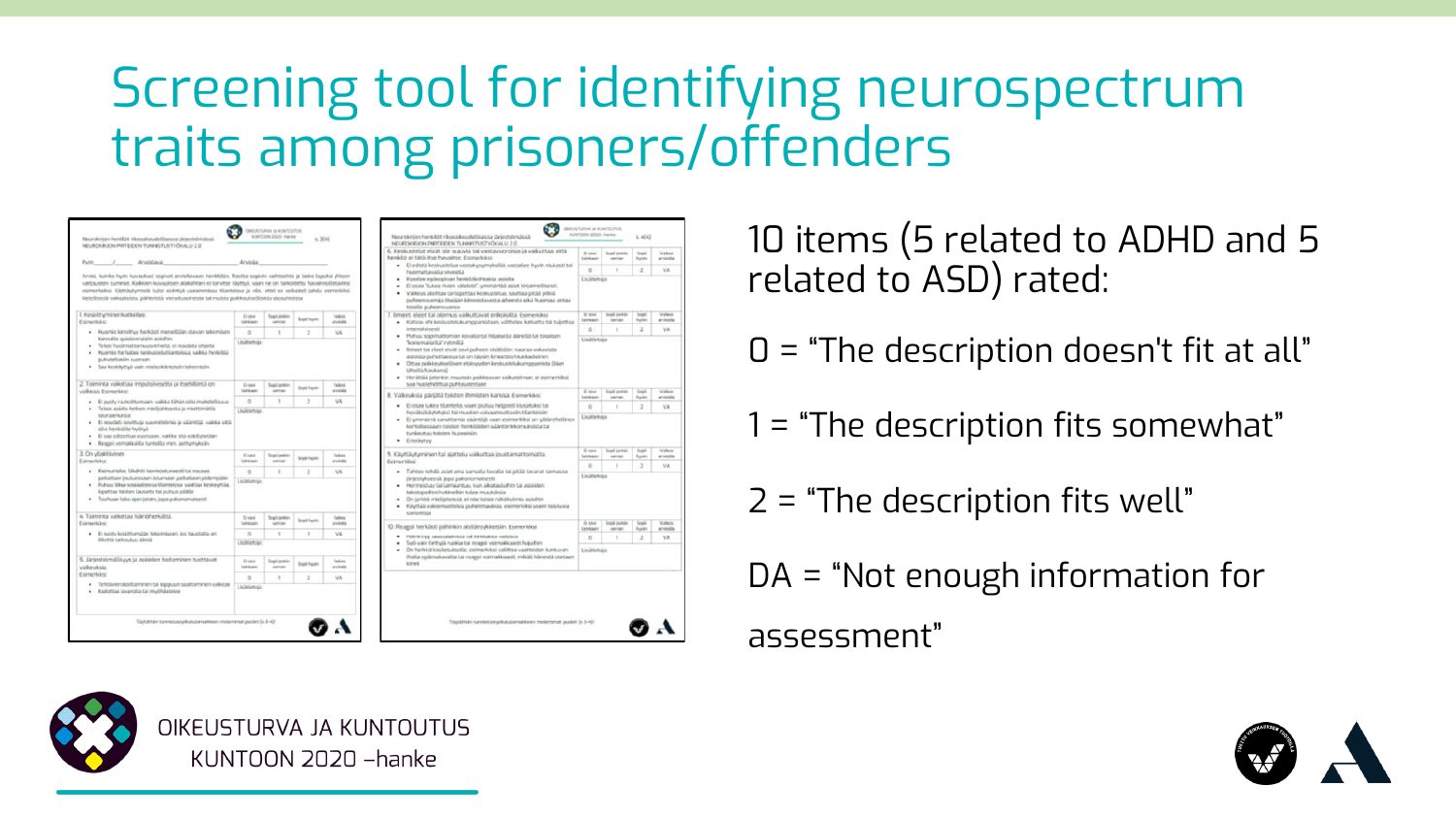### Screening tool for identifying neurospectrum traits among prisoners/offenders



10 items (5 related to ADHD and 5 related to ASD) rated:

 $D = "The description doesn't fit at all"$ 

 $1 = "The description fits somewhat"$ 

2 = "The description fits well"

DA = "Not enough information for

assessment"



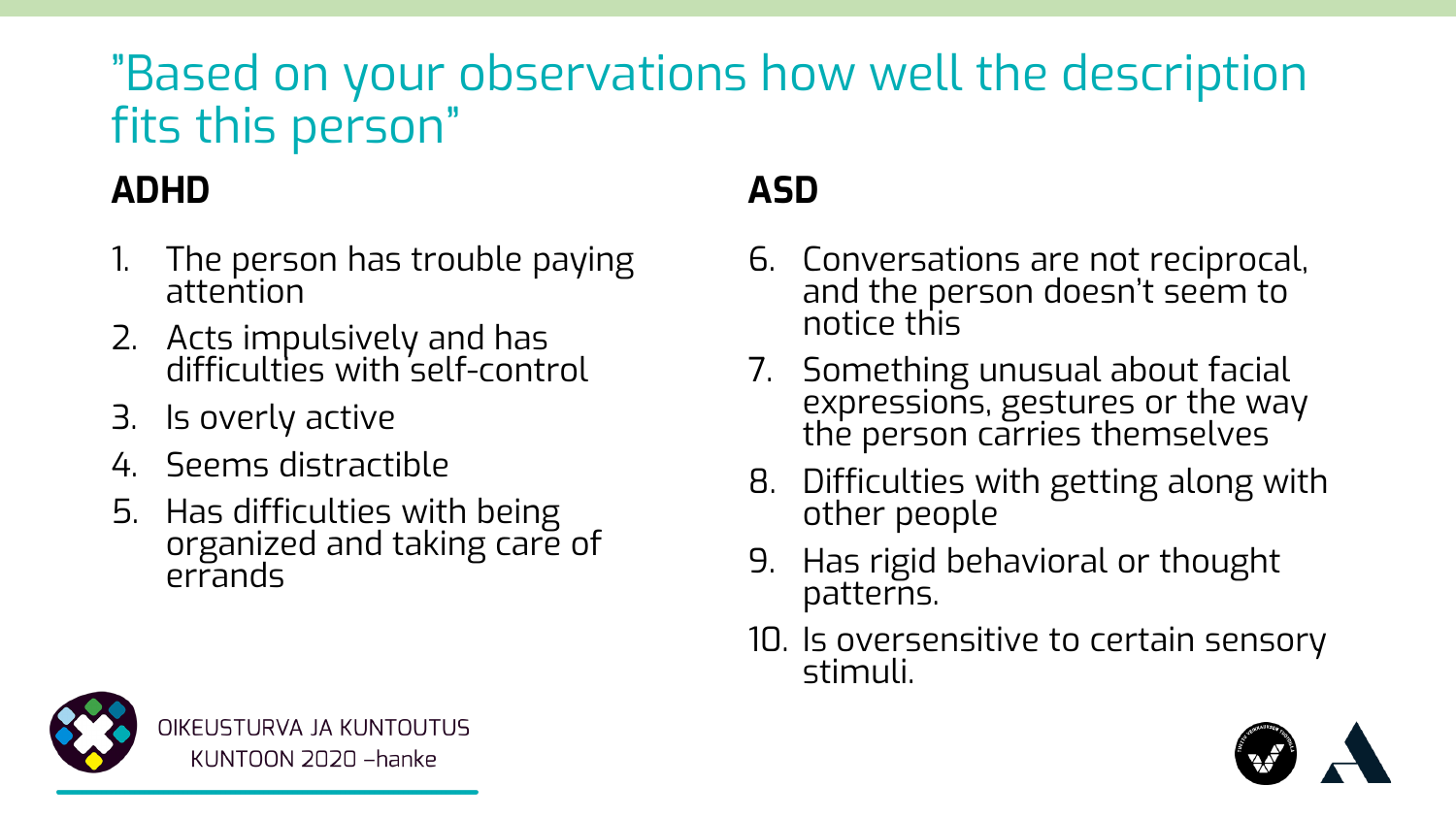### "Based on your observations how well the description fits this person"

#### **ADHD**

- 1. The person has trouble paying attention
- 2. Acts impulsively and has difficulties with self-control
- 3. Is overly active
- 4. Seems distractible
- 5. Has difficulties with being organized and taking care of errands

#### **ASD**

- 6. Conversations are not reciprocal, and the person doesn't seem to notice this
- 7. Something unusual about facial expressions, gestures or the way the person carries themselves
- 8. Difficulties with getting along with other people
- 9. Has rigid behavioral or thought patterns.
- 10. Is oversensitive to certain sensory stimuli.



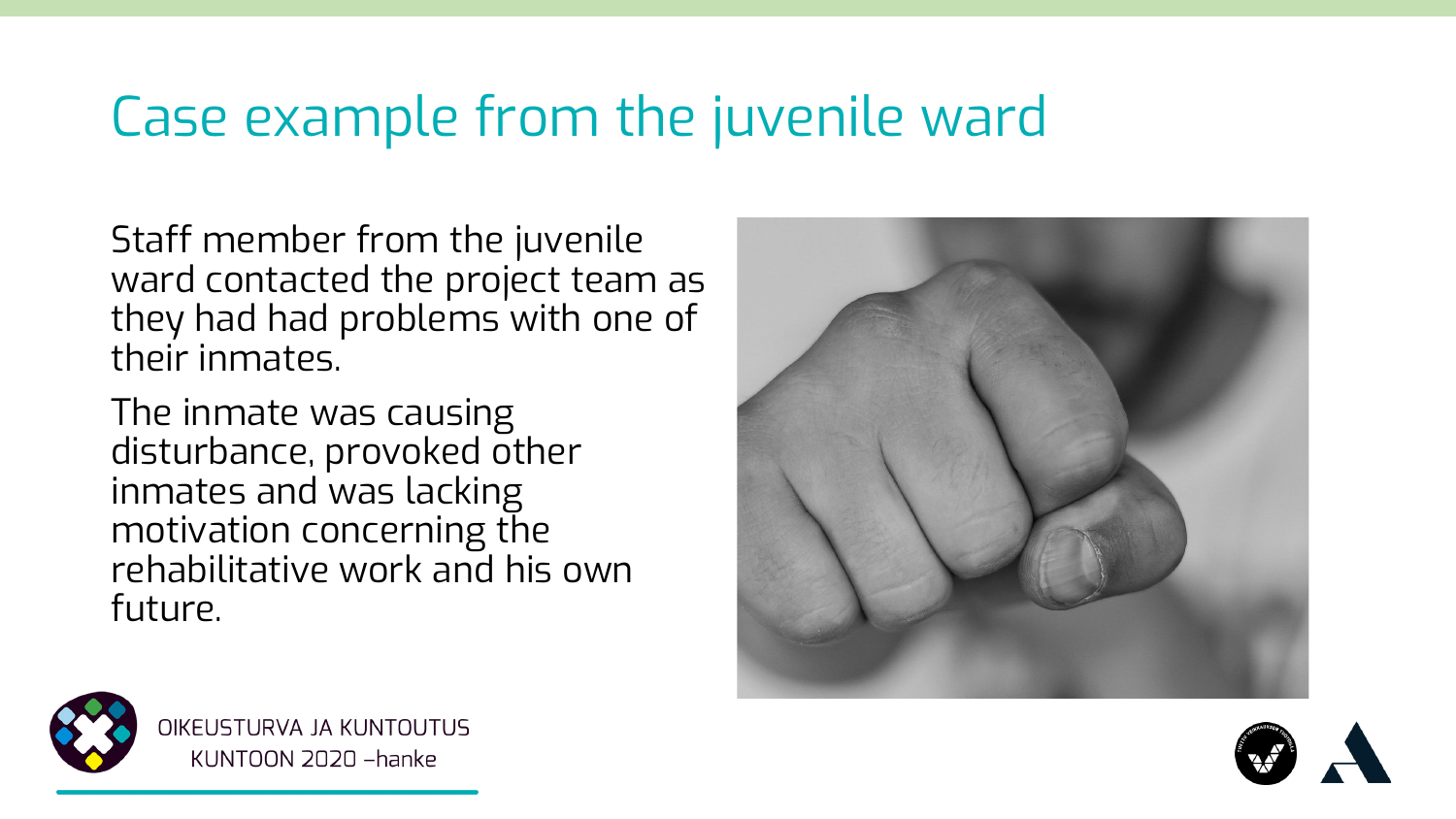### Case example from the juvenile ward

Staff member from the juvenile ward contacted the project team as they had had problems with one of their inmates.

The inmate was causing disturbance, provoked other inmates and was lacking motivation concerning the rehabilitative work and his own future.





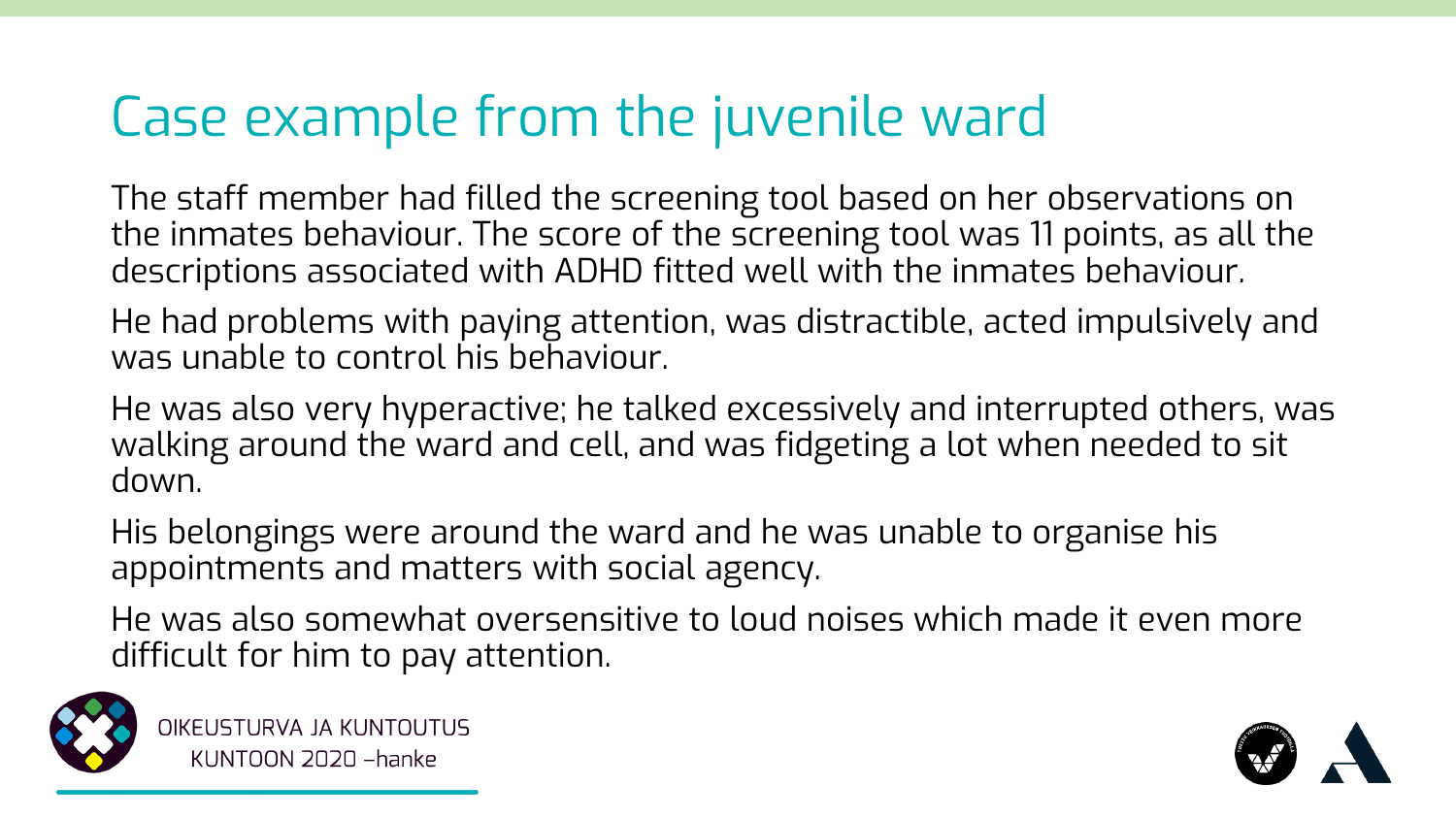### Case example from the juvenile ward

The staff member had filled the screening tool based on her observations on the inmates behaviour. The score of the screening tool was 11 points, as all the descriptions associated with ADHD fitted well with the inmates behaviour.

He had problems with paying attention, was distractible, acted impulsively and was unable to control his behaviour.

He was also very hyperactive; he talked excessively and interrupted others, was walking around the ward and cell, and was fidgeting a lot when needed to sit down.

His belongings were around the ward and he was unable to organise his appointments and matters with social agency.

He was also somewhat oversensitive to loud noises which made it even more difficult for him to pay attention.



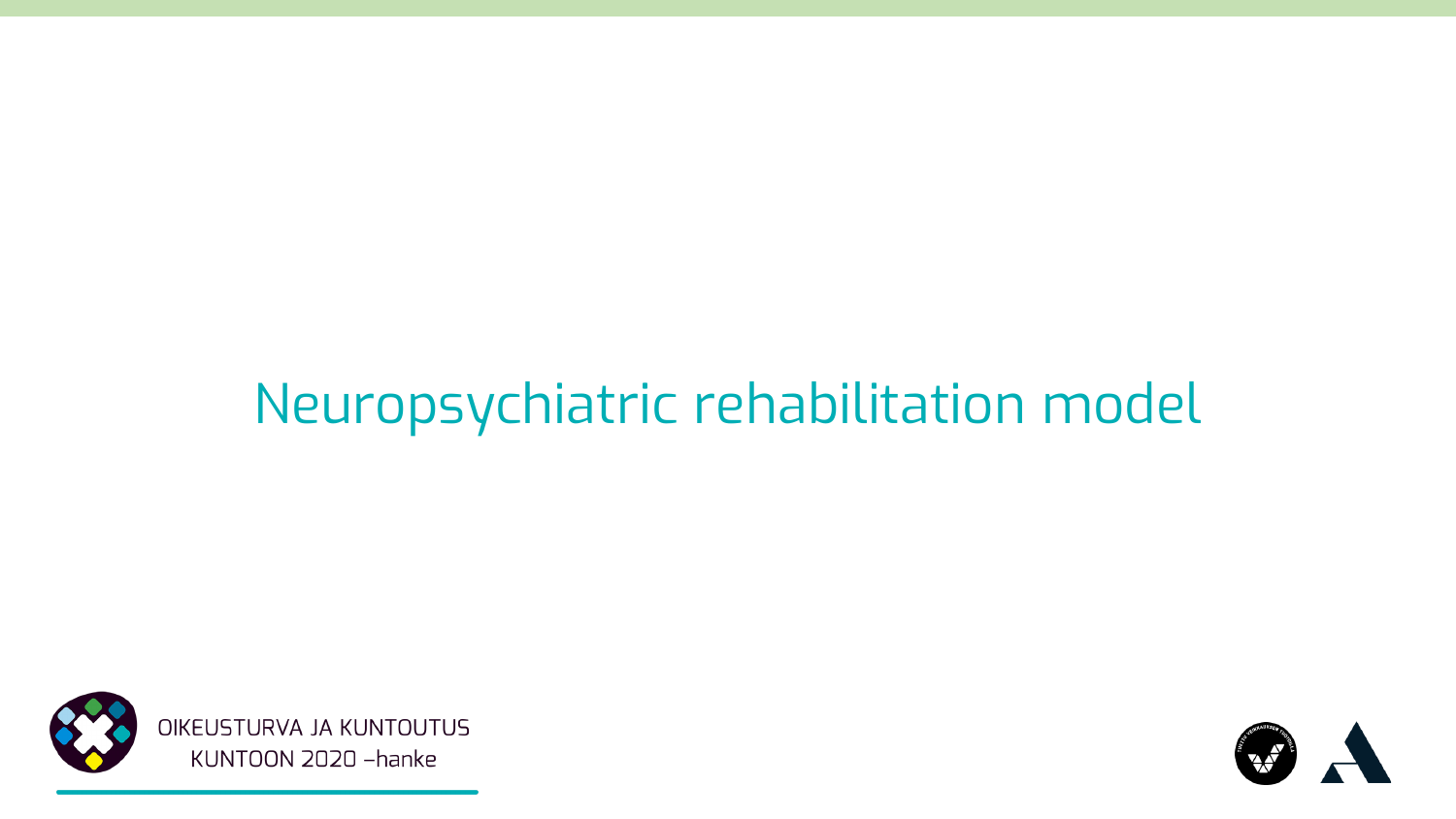### Neuropsychiatric rehabilitation model



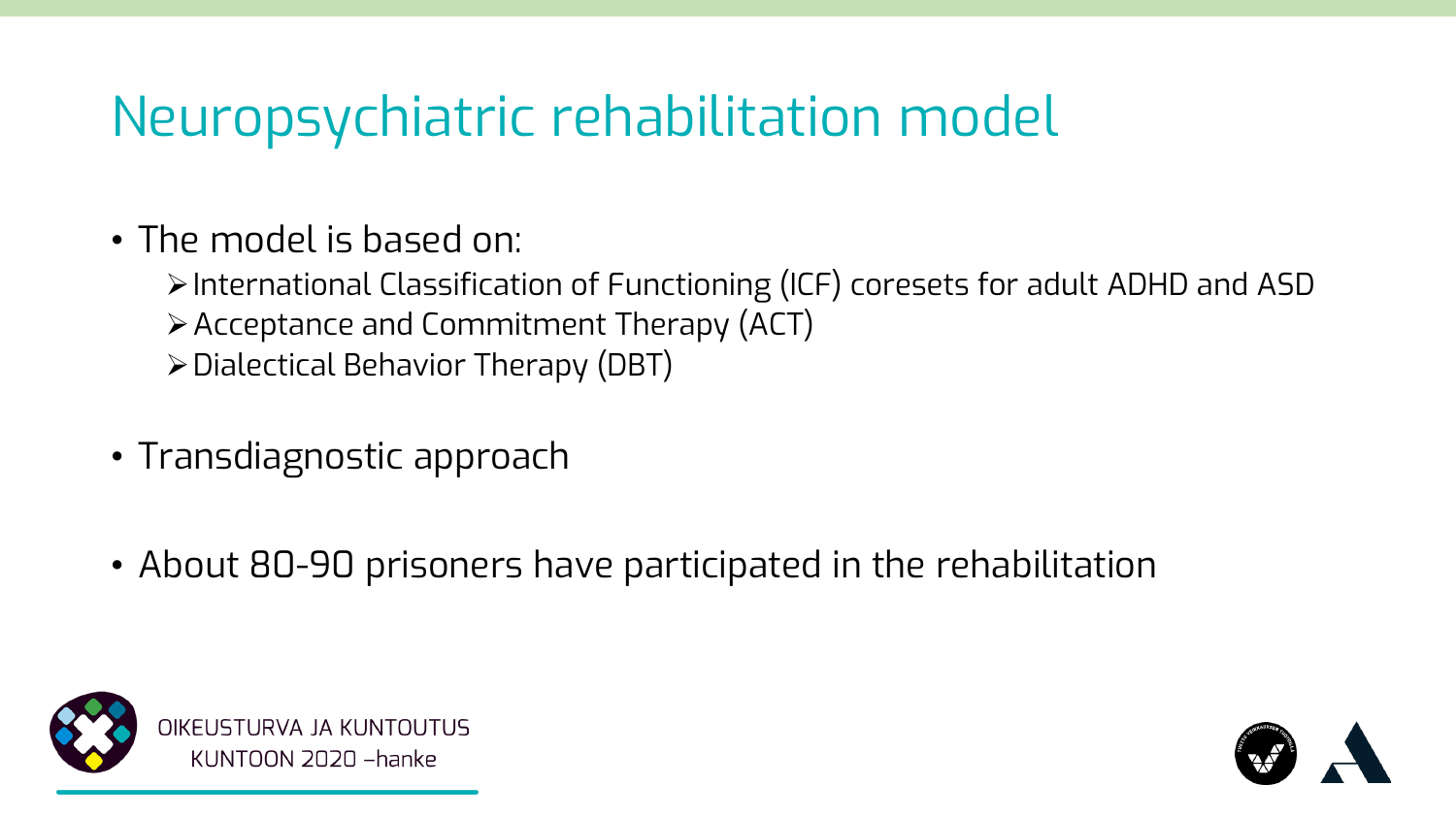### Neuropsychiatric rehabilitation model

- The model is based on:
	- ➢International Classification of Functioning (ICF) coresets for adult ADHD and ASD
	- ➢Acceptance and Commitment Therapy (ACT)
	- ➢Dialectical Behavior Therapy (DBT)
- Transdiagnostic approach
- About 80-90 prisoners have participated in the rehabilitation



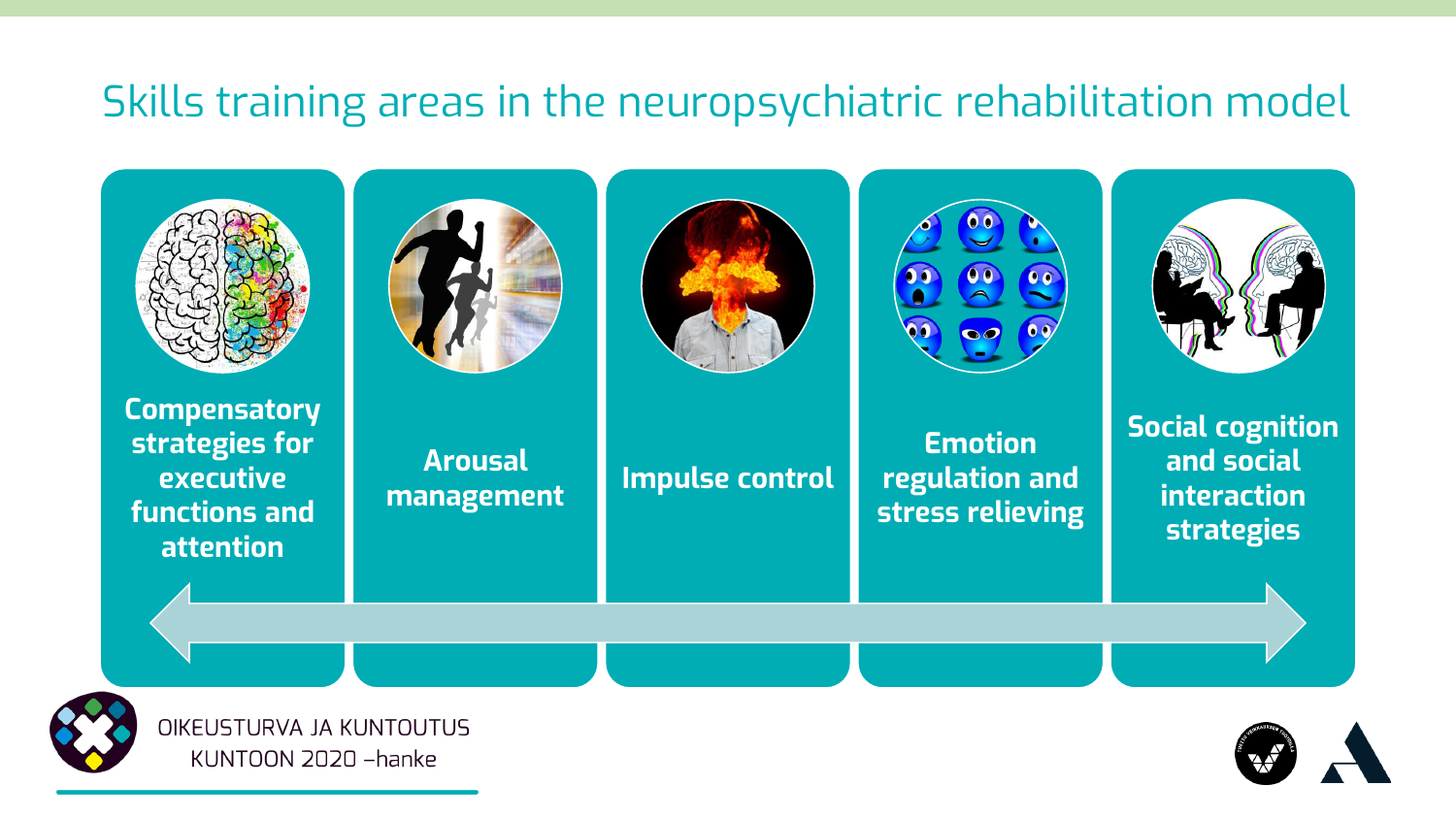#### Skills training areas in the neuropsychiatric rehabilitation model





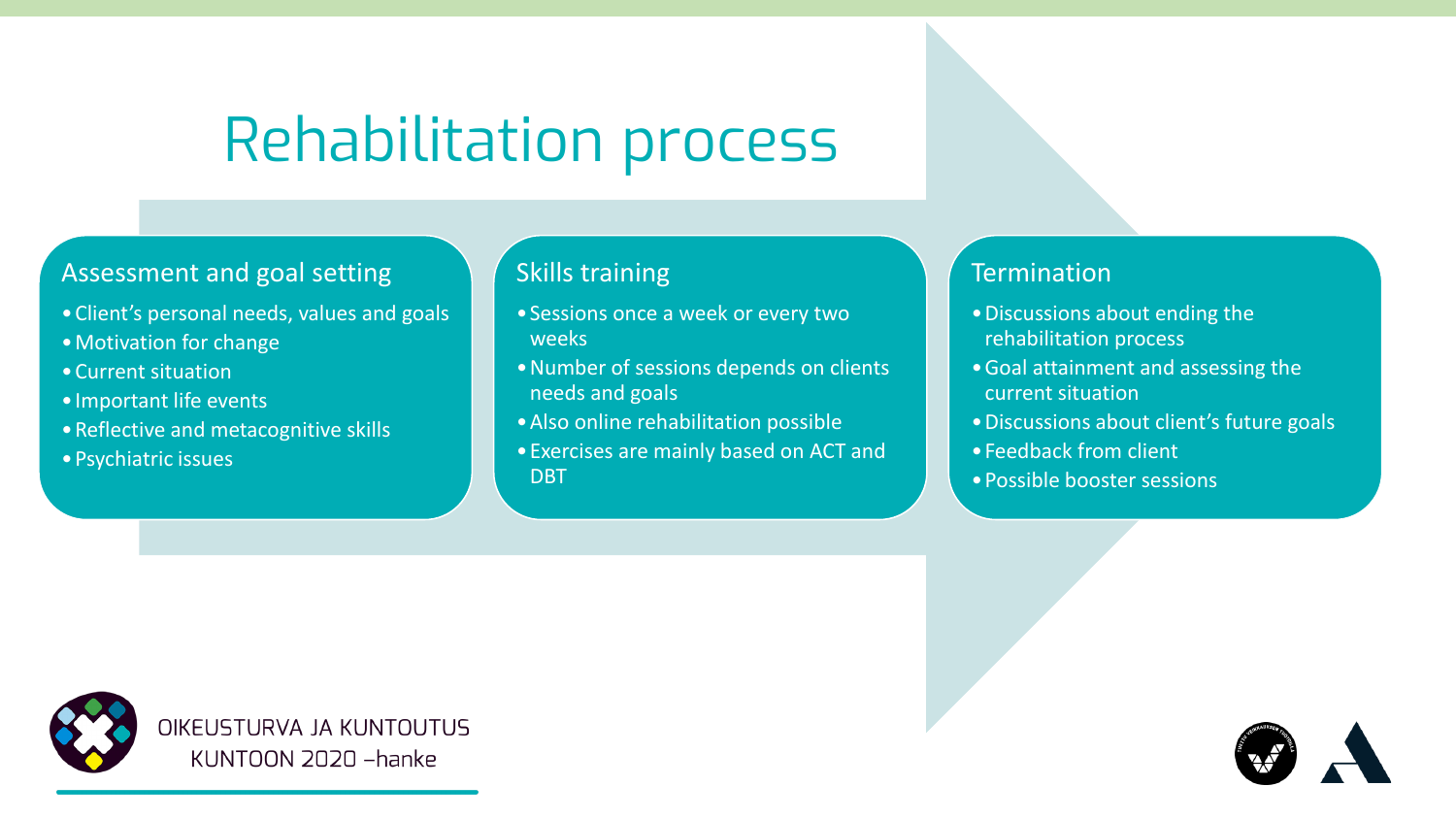### Rehabilitation process

#### Assessment and goal setting

- •Client's personal needs, values and goals
- •Motivation for change
- •Current situation
- •Important life events
- •Reflective and metacognitive skills
- •Psychiatric issues

#### Skills training

- •Sessions once a week or every two weeks
- •Number of sessions depends on clients needs and goals
- •Also online rehabilitation possible
- •Exercises are mainly based on ACT and DBT

#### **Termination**

- •Discussions about ending the rehabilitation process
- •Goal attainment and assessing the current situation
- •Discussions about client's future goals
- •Feedback from client
- •Possible booster sessions



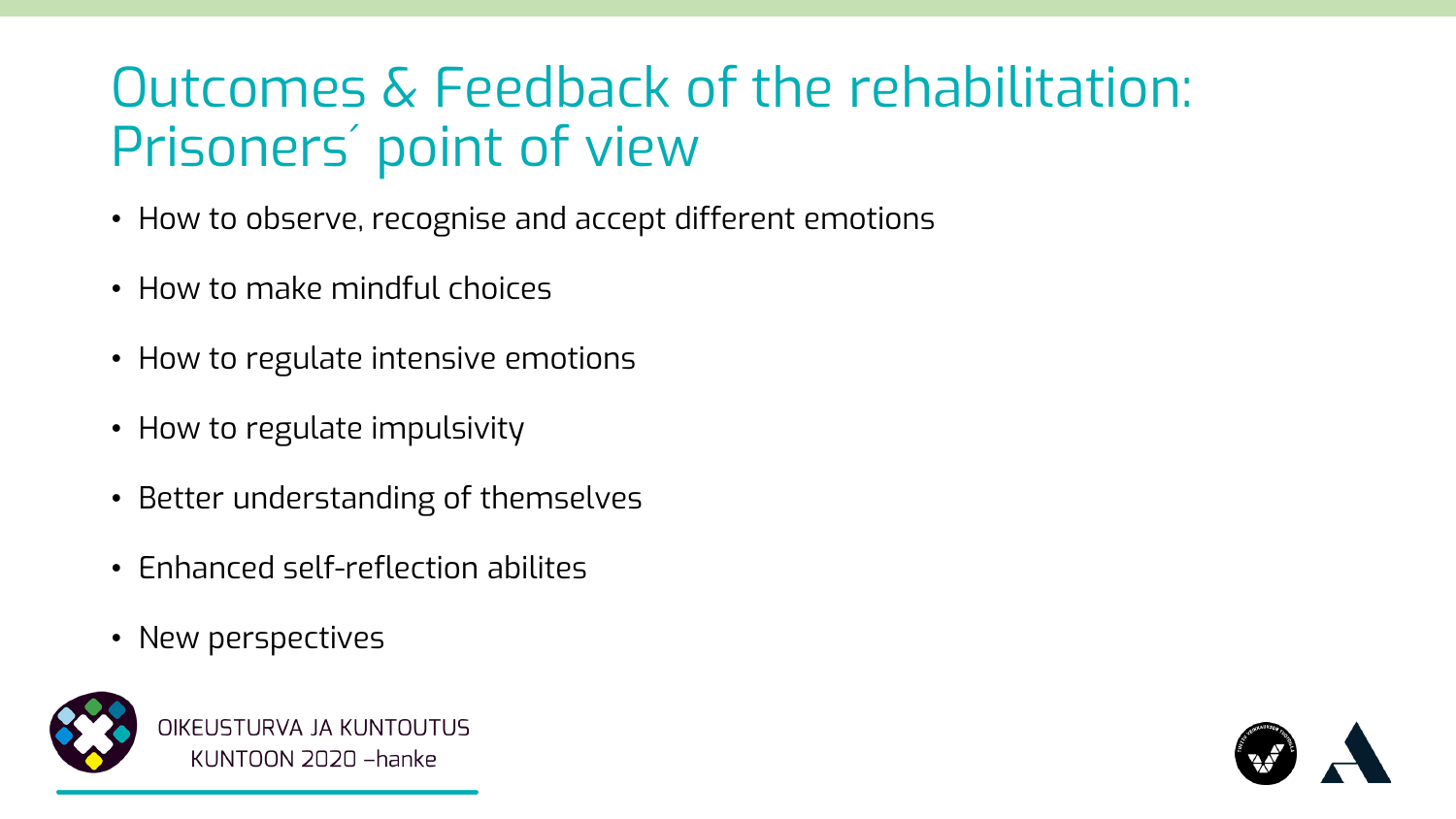### Outcomes & Feedback of the rehabilitation: Prisoners´ point of view

- How to observe, recognise and accept different emotions
- How to make mindful choices
- How to regulate intensive emotions
- How to regulate impulsivity
- Better understanding of themselves
- Enhanced self-reflection abilites
- New perspectives



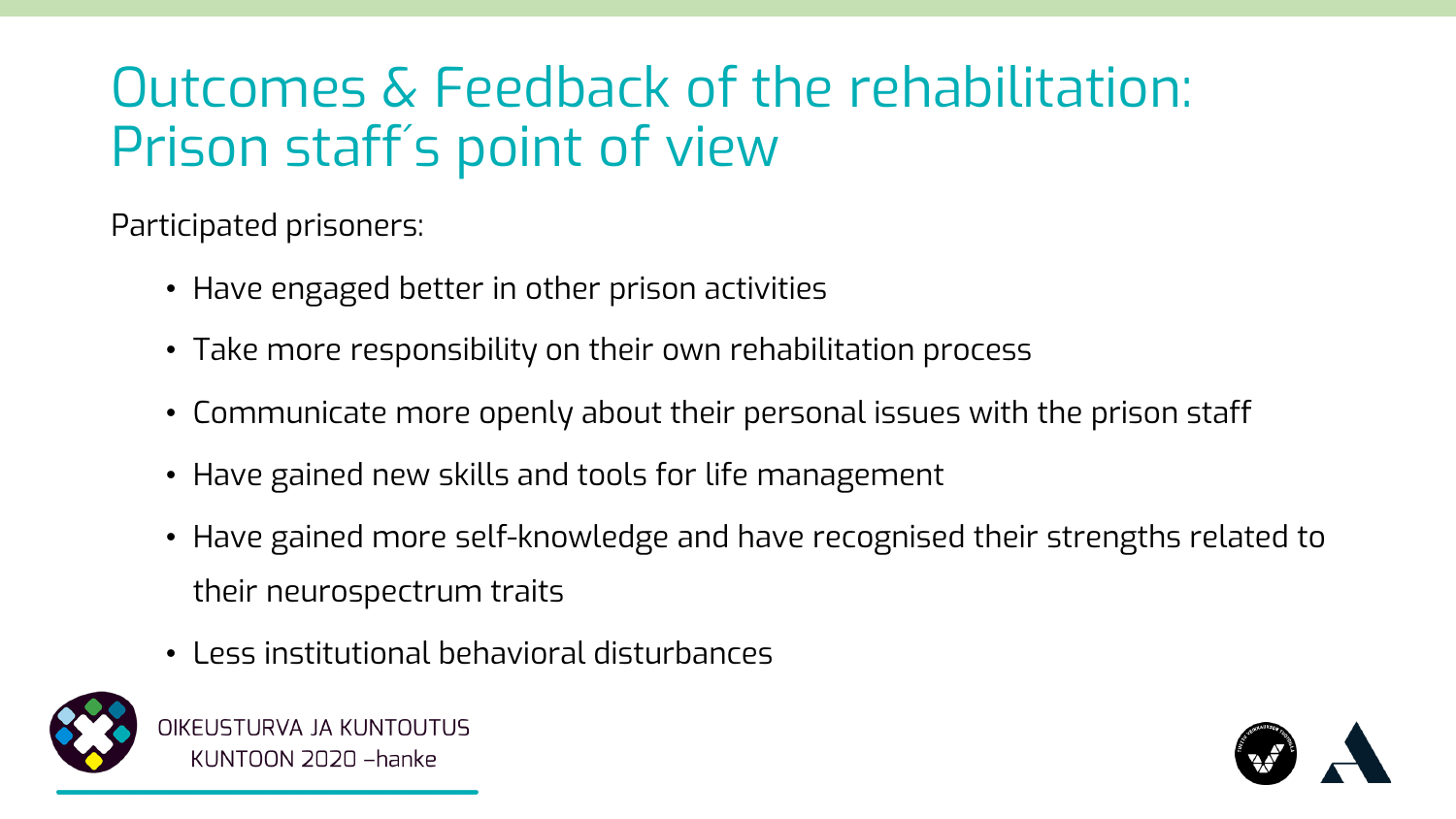### Outcomes & Feedback of the rehabilitation: Prison staff´ s point of view

Participated prisoners:

- Have engaged better in other prison activities
- Take more responsibility on their own rehabilitation process
- Communicate more openly about their personal issues with the prison staff
- Have gained new skills and tools for life management
- Have gained more self-knowledge and have recognised their strengths related to their neurospectrum traits
- Less institutional behavioral disturbances